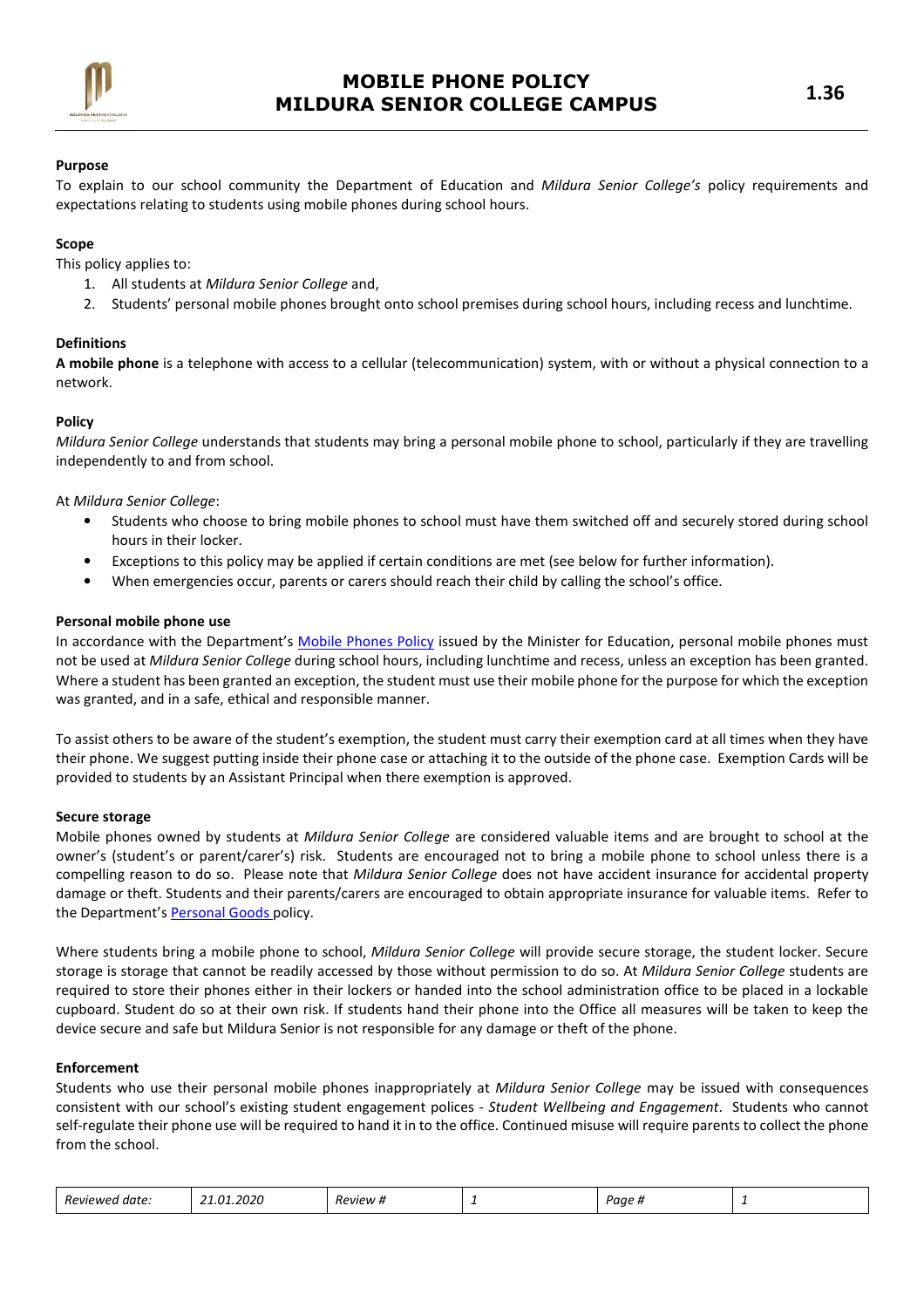

### Purpose

To explain to our school community the Department of Education and Mildura Senior College's policy requirements and expectations relating to students using mobile phones during school hours.

## Scope

This policy applies to:

- 1. All students at Mildura Senior College and,
- 2. Students' personal mobile phones brought onto school premises during school hours, including recess and lunchtime.

## Definitions

A mobile phone is a telephone with access to a cellular (telecommunication) system, with or without a physical connection to a network.

## Policy

Mildura Senior College understands that students may bring a personal mobile phone to school, particularly if they are travelling independently to and from school.

At Mildura Senior College:

- Students who choose to bring mobile phones to school must have them switched off and securely stored during school hours in their locker.
- Exceptions to this policy may be applied if certain conditions are met (see below for further information).
- When emergencies occur, parents or carers should reach their child by calling the school's office.

#### Personal mobile phone use

In accordance with the Department's Mobile Phones Policy issued by the Minister for Education, personal mobile phones must not be used at Mildura Senior College during school hours, including lunchtime and recess, unless an exception has been granted. Where a student has been granted an exception, the student must use their mobile phone for the purpose for which the exception was granted, and in a safe, ethical and responsible manner.

To assist others to be aware of the student's exemption, the student must carry their exemption card at all times when they have their phone. We suggest putting inside their phone case or attaching it to the outside of the phone case. Exemption Cards will be provided to students by an Assistant Principal when there exemption is approved.

#### Secure storage

Mobile phones owned by students at Mildura Senior College are considered valuable items and are brought to school at the owner's (student's or parent/carer's) risk. Students are encouraged not to bring a mobile phone to school unless there is a compelling reason to do so. Please note that Mildura Senior College does not have accident insurance for accidental property damage or theft. Students and their parents/carers are encouraged to obtain appropriate insurance for valuable items. Refer to the Department's Personal Goods policy.

Where students bring a mobile phone to school, Mildura Senior College will provide secure storage, the student locker. Secure storage is storage that cannot be readily accessed by those without permission to do so. At Mildura Senior College students are required to store their phones either in their lockers or handed into the school administration office to be placed in a lockable cupboard. Student do so at their own risk. If students hand their phone into the Office all measures will be taken to keep the device secure and safe but Mildura Senior is not responsible for any damage or theft of the phone.

#### Enforcement

Students who use their personal mobile phones inappropriately at Mildura Senior College may be issued with consequences consistent with our school's existing student engagement polices - Student Wellbeing and Engagement. Students who cannot self-regulate their phone use will be required to hand it in to the office. Continued misuse will require parents to collect the phone from the school.

| วกวก<br>$^{\prime}$<br>-<br><u>_а</u><br>Reviewe<br>aate.<br>. | 'ovipw | - | ''aae<br> |  |  |
|----------------------------------------------------------------|--------|---|-----------|--|--|
|----------------------------------------------------------------|--------|---|-----------|--|--|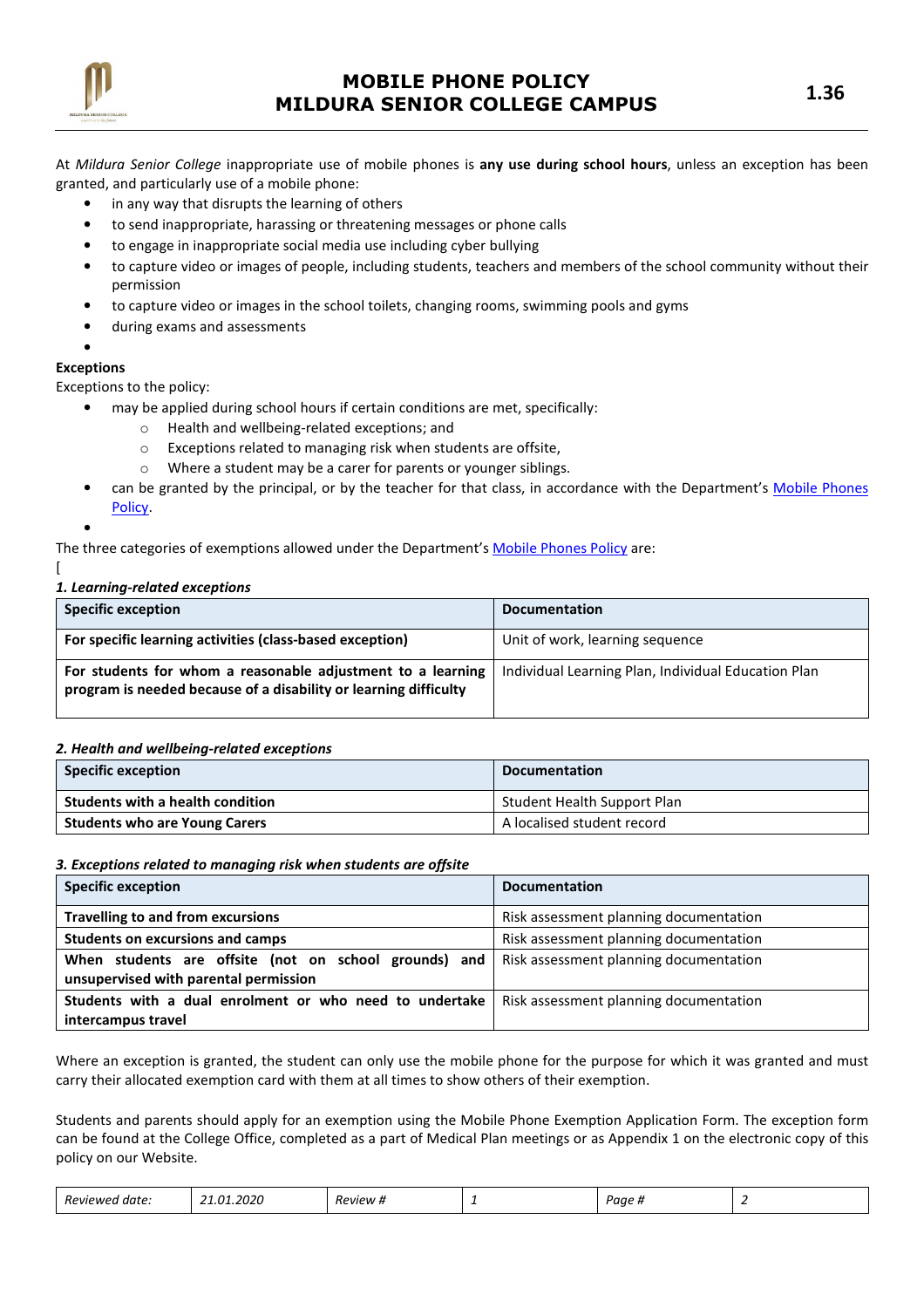

At Mildura Senior College inappropriate use of mobile phones is any use during school hours, unless an exception has been granted, and particularly use of a mobile phone:

- in any way that disrupts the learning of others
- to send inappropriate, harassing or threatening messages or phone calls
- to engage in inappropriate social media use including cyber bullying
- to capture video or images of people, including students, teachers and members of the school community without their permission
- to capture video or images in the school toilets, changing rooms, swimming pools and gyms
- during exams and assessments
- •

## Exceptions

Exceptions to the policy:

- may be applied during school hours if certain conditions are met, specifically:
	- o Health and wellbeing-related exceptions; and
	- o Exceptions related to managing risk when students are offsite,
	- o Where a student may be a carer for parents or younger siblings.
- can be granted by the principal, or by the teacher for that class, in accordance with the Department's Mobile Phones Policy.

The three categories of exemptions allowed under the Department's Mobile Phones Policy are:

[

•

## 1. Learning-related exceptions

| <b>Specific exception</b>                                                                                                       | <b>Documentation</b>                                |
|---------------------------------------------------------------------------------------------------------------------------------|-----------------------------------------------------|
| For specific learning activities (class-based exception)                                                                        | Unit of work, learning sequence                     |
| For students for whom a reasonable adjustment to a learning<br>program is needed because of a disability or learning difficulty | Individual Learning Plan, Individual Education Plan |

#### 2. Health and wellbeing-related exceptions

| <b>Specific exception</b>            | <b>Documentation</b>        |
|--------------------------------------|-----------------------------|
| Students with a health condition     | Student Health Support Plan |
| <b>Students who are Young Carers</b> | A localised student record  |

#### 3. Exceptions related to managing risk when students are offsite

| <b>Specific exception</b>                                                                      | <b>Documentation</b>                   |
|------------------------------------------------------------------------------------------------|----------------------------------------|
| <b>Travelling to and from excursions</b>                                                       | Risk assessment planning documentation |
| <b>Students on excursions and camps</b>                                                        | Risk assessment planning documentation |
| When students are offsite (not on school grounds) and<br>unsupervised with parental permission | Risk assessment planning documentation |
| Students with a dual enrolment or who need to undertake<br>intercampus travel                  | Risk assessment planning documentation |

Where an exception is granted, the student can only use the mobile phone for the purpose for which it was granted and must carry their allocated exemption card with them at all times to show others of their exemption.

Students and parents should apply for an exemption using the Mobile Phone Exemption Application Form. The exception form can be found at the College Office, completed as a part of Medical Plan meetings or as Appendix 1 on the electronic copy of this policy on our Website.

| - | Reviewed date: | 21.01.2020 | <i><b>Review #</b></i> |  | Paae , |  |
|---|----------------|------------|------------------------|--|--------|--|
|---|----------------|------------|------------------------|--|--------|--|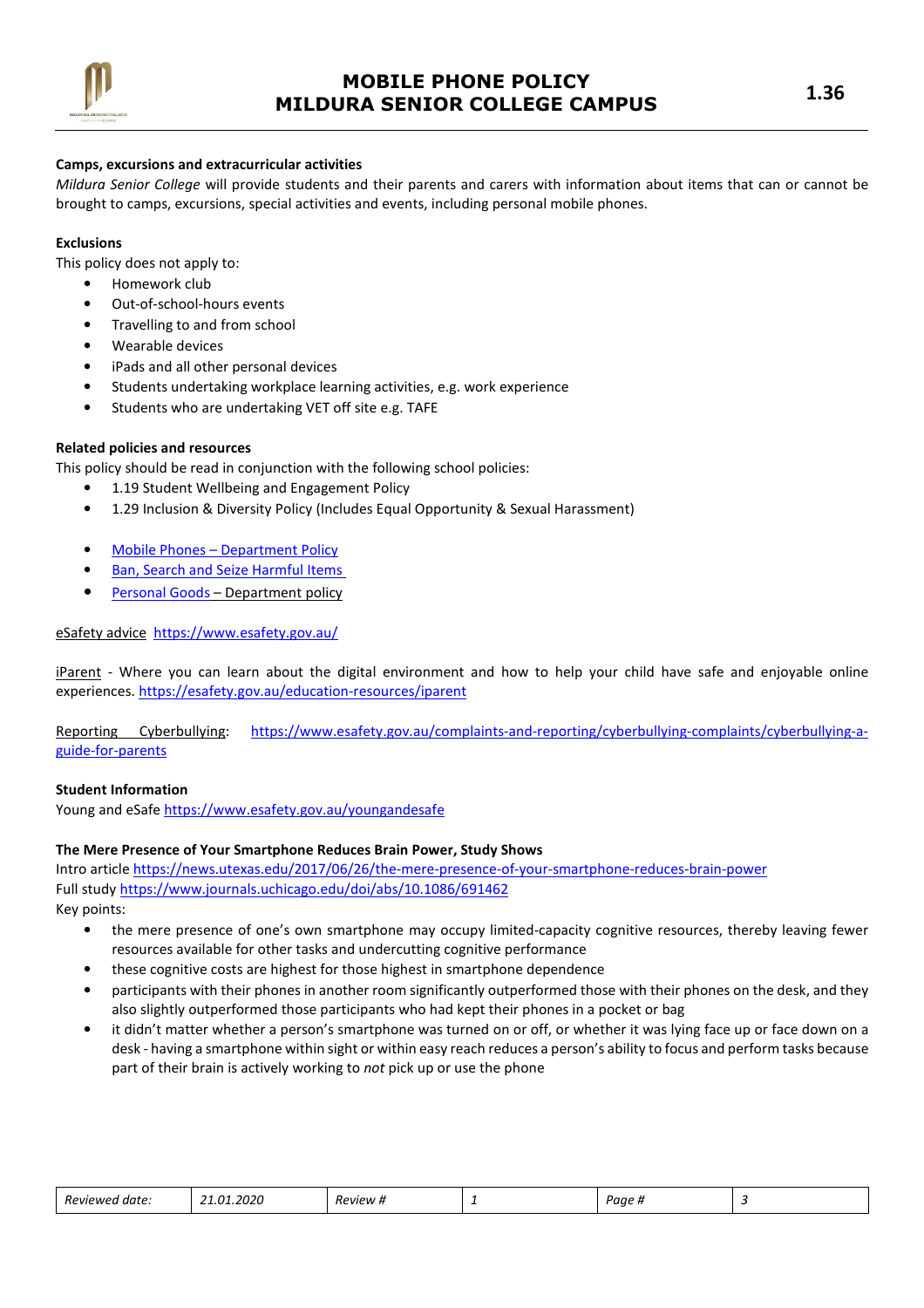

## Camps, excursions and extracurricular activities

Mildura Senior College will provide students and their parents and carers with information about items that can or cannot be brought to camps, excursions, special activities and events, including personal mobile phones.

## Exclusions

This policy does not apply to:

- Homework club
- Out-of-school-hours events
- Travelling to and from school
- Wearable devices
- iPads and all other personal devices
- Students undertaking workplace learning activities, e.g. work experience
- Students who are undertaking VET off site e.g. TAFE

## Related policies and resources

This policy should be read in conjunction with the following school policies:

- 1.19 Student Wellbeing and Engagement Policy
- 1.29 Inclusion & Diversity Policy (Includes Equal Opportunity & Sexual Harassment)
- Mobile Phones Department Policy
- Ban, Search and Seize Harmful Items
- Personal Goods Department policy

## eSafety advice https://www.esafety.gov.au/

iParent - Where you can learn about the digital environment and how to help your child have safe and enjoyable online experiences. https://esafety.gov.au/education-resources/iparent

Reporting Cyberbullying: https://www.esafety.gov.au/complaints-and-reporting/cyberbullying-complaints/cyberbullying-aguide-for-parents

### Student Information

Young and eSafe https://www.esafety.gov.au/youngandesafe

#### The Mere Presence of Your Smartphone Reduces Brain Power, Study Shows

Intro article https://news.utexas.edu/2017/06/26/the-mere-presence-of-your-smartphone-reduces-brain-power Full study https://www.journals.uchicago.edu/doi/abs/10.1086/691462

Key points:

- the mere presence of one's own smartphone may occupy limited-capacity cognitive resources, thereby leaving fewer resources available for other tasks and undercutting cognitive performance
- these cognitive costs are highest for those highest in smartphone dependence
- participants with their phones in another room significantly outperformed those with their phones on the desk, and they also slightly outperformed those participants who had kept their phones in a pocket or bag
- it didn't matter whether a person's smartphone was turned on or off, or whether it was lying face up or face down on a desk - having a smartphone within sight or within easy reach reduces a person's ability to focus and perform tasks because part of their brain is actively working to not pick up or use the phone

| . .<br><i>Reviewer</i><br>I date: | '020<br>רח | 'eview # | - | $\sum$<br>aue #<br> |  |
|-----------------------------------|------------|----------|---|---------------------|--|
|-----------------------------------|------------|----------|---|---------------------|--|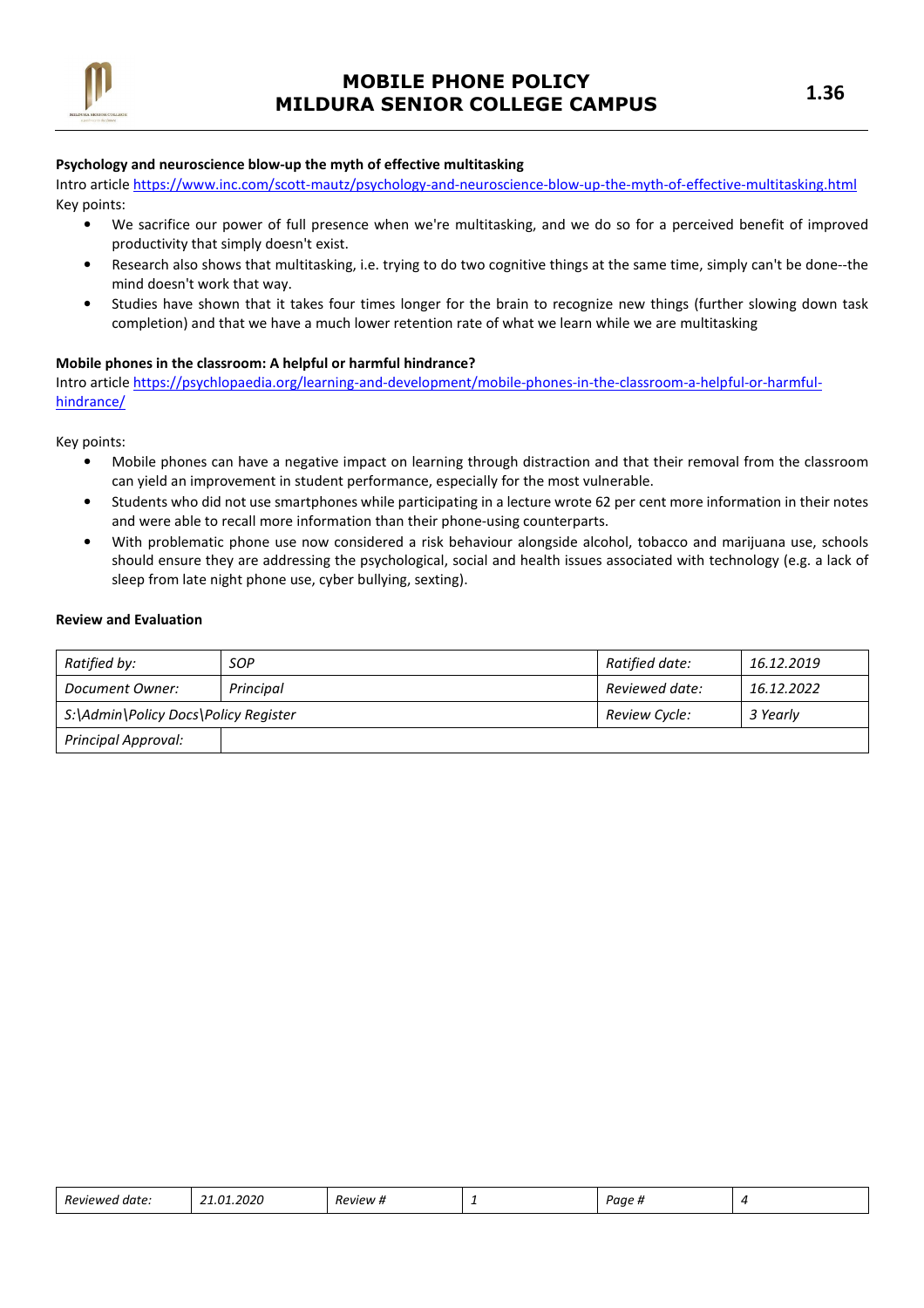

### Psychology and neuroscience blow-up the myth of effective multitasking

Intro article https://www.inc.com/scott-mautz/psychology-and-neuroscience-blow-up-the-myth-of-effective-multitasking.html Key points:

- We sacrifice our power of full presence when we're multitasking, and we do so for a perceived benefit of improved productivity that simply doesn't exist.
- Research also shows that multitasking, i.e. trying to do two cognitive things at the same time, simply can't be done--the mind doesn't work that way.
- Studies have shown that it takes four times longer for the brain to recognize new things (further slowing down task completion) and that we have a much lower retention rate of what we learn while we are multitasking

## Mobile phones in the classroom: A helpful or harmful hindrance?

Intro article https://psychlopaedia.org/learning-and-development/mobile-phones-in-the-classroom-a-helpful-or-harmfulhindrance/

Key points:

- Mobile phones can have a negative impact on learning through distraction and that their removal from the classroom can yield an improvement in student performance, especially for the most vulnerable.
- Students who did not use smartphones while participating in a lecture wrote 62 per cent more information in their notes and were able to recall more information than their phone-using counterparts.
- With problematic phone use now considered a risk behaviour alongside alcohol, tobacco and marijuana use, schools should ensure they are addressing the psychological, social and health issues associated with technology (e.g. a lack of sleep from late night phone use, cyber bullying, sexting).

#### Review and Evaluation

| Ratified by:                         | SOP       | Ratified date: | 16.12.2019 |
|--------------------------------------|-----------|----------------|------------|
| Document Owner:                      | Principal | Reviewed date: | 16.12.2022 |
| S:\Admin\Policy Docs\Policy Register |           | Review Cycle:  | 3 Yearly   |
| <b>Principal Approval:</b>           |           |                |            |

| $\sim$<br>Λ1<br>$\mathbf{a}$<br>date:<br>,,<br>אומ<br>.uz'<br>. | PVIPW | - | יי<br>•ш⊩ |  |  |
|-----------------------------------------------------------------|-------|---|-----------|--|--|
|-----------------------------------------------------------------|-------|---|-----------|--|--|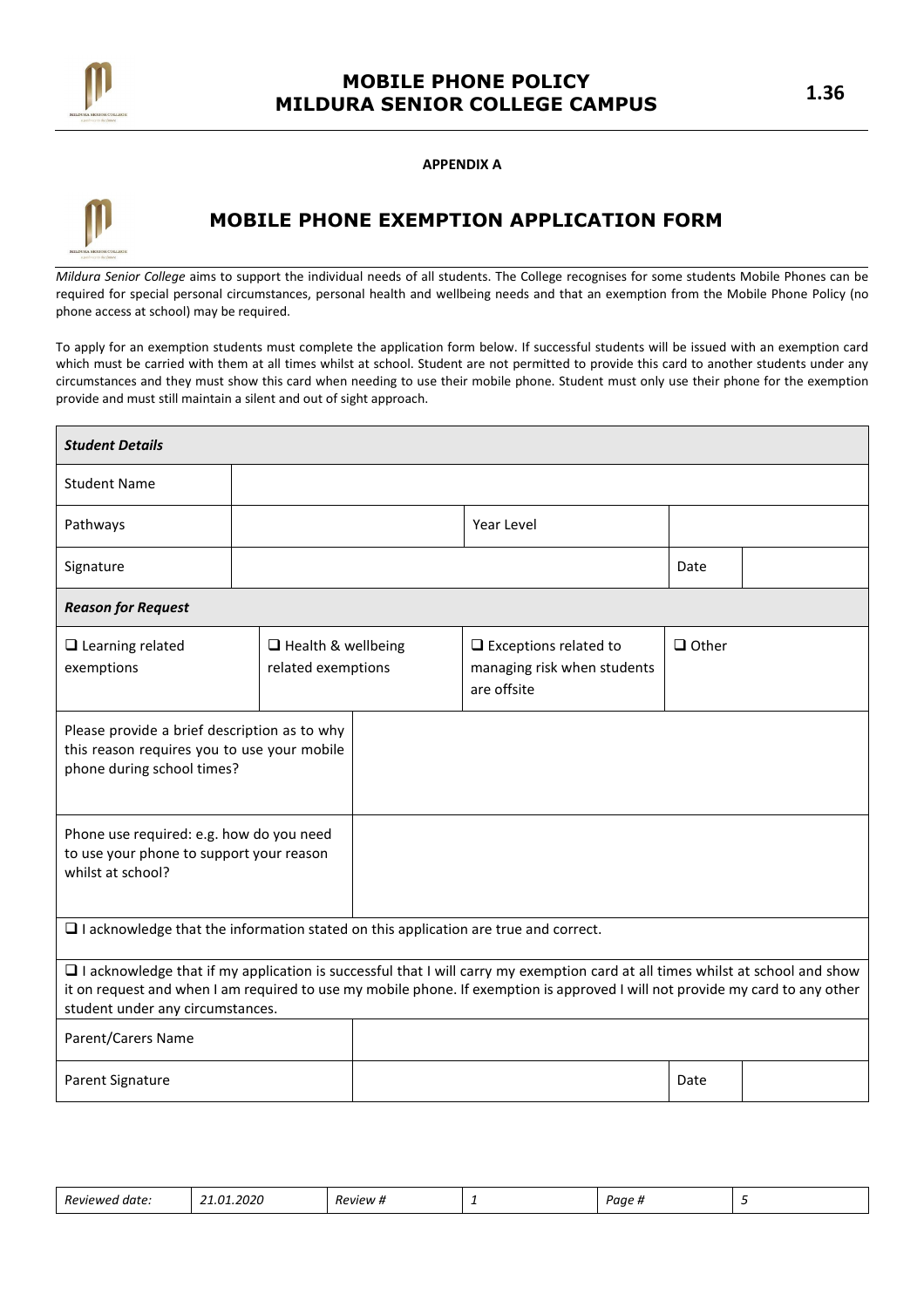

APPENDIX A



# MOBILE PHONE EXEMPTION APPLICATION FORM

Mildura Senior College aims to support the individual needs of all students. The College recognises for some students Mobile Phones can be required for special personal circumstances, personal health and wellbeing needs and that an exemption from the Mobile Phone Policy (no phone access at school) may be required.

To apply for an exemption students must complete the application form below. If successful students will be issued with an exemption card which must be carried with them at all times whilst at school. Student are not permitted to provide this card to another students under any circumstances and they must show this card when needing to use their mobile phone. Student must only use their phone for the exemption provide and must still maintain a silent and out of sight approach.

| <b>Student Details</b>                                                                                                                                                                                                                                                                                    |                                                 |  |                                                                            |              |  |  |
|-----------------------------------------------------------------------------------------------------------------------------------------------------------------------------------------------------------------------------------------------------------------------------------------------------------|-------------------------------------------------|--|----------------------------------------------------------------------------|--------------|--|--|
| <b>Student Name</b>                                                                                                                                                                                                                                                                                       |                                                 |  |                                                                            |              |  |  |
| Pathways                                                                                                                                                                                                                                                                                                  |                                                 |  | Year Level                                                                 |              |  |  |
| Signature                                                                                                                                                                                                                                                                                                 | Date                                            |  |                                                                            |              |  |  |
| <b>Reason for Request</b>                                                                                                                                                                                                                                                                                 |                                                 |  |                                                                            |              |  |  |
| $\Box$ Learning related<br>exemptions                                                                                                                                                                                                                                                                     | $\Box$ Health & wellbeing<br>related exemptions |  | $\Box$ Exceptions related to<br>managing risk when students<br>are offsite | $\Box$ Other |  |  |
| Please provide a brief description as to why<br>this reason requires you to use your mobile<br>phone during school times?                                                                                                                                                                                 |                                                 |  |                                                                            |              |  |  |
| Phone use required: e.g. how do you need<br>to use your phone to support your reason<br>whilst at school?                                                                                                                                                                                                 |                                                 |  |                                                                            |              |  |  |
| $\Box$ I acknowledge that the information stated on this application are true and correct.                                                                                                                                                                                                                |                                                 |  |                                                                            |              |  |  |
| $\Box$ I acknowledge that if my application is successful that I will carry my exemption card at all times whilst at school and show<br>it on request and when I am required to use my mobile phone. If exemption is approved I will not provide my card to any other<br>student under any circumstances. |                                                 |  |                                                                            |              |  |  |
| Parent/Carers Name                                                                                                                                                                                                                                                                                        |                                                 |  |                                                                            |              |  |  |
| Parent Signature                                                                                                                                                                                                                                                                                          |                                                 |  |                                                                            | Date         |  |  |

|  | -<br>Review<br>date.<br><b>MPC</b><br>. | $  -$<br>$\mathcal{L}$<br>$\overline{\phantom{a}}$<br>ω1<br>2 U Z U<br>- - -<br>______ | $\overline{\phantom{a}}$<br>eview<br>10<br>______ | - | Jor.<br>. uar<br>$\bm{\pi}$ |  |
|--|-----------------------------------------|----------------------------------------------------------------------------------------|---------------------------------------------------|---|-----------------------------|--|
|--|-----------------------------------------|----------------------------------------------------------------------------------------|---------------------------------------------------|---|-----------------------------|--|